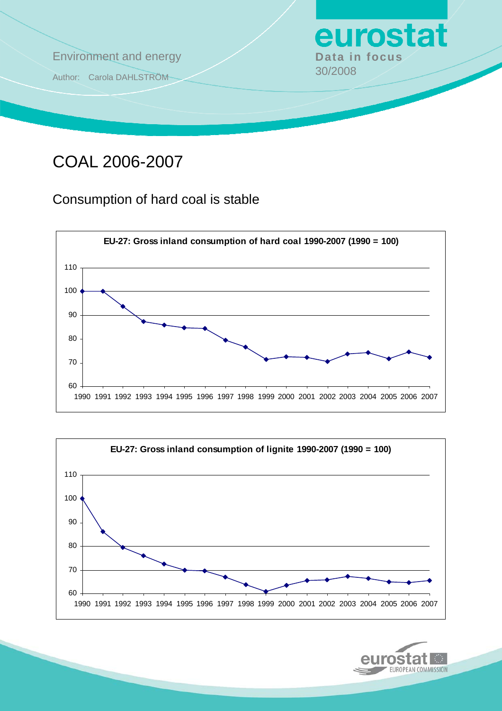

# COAL 2006-2007

Consumption of hard coal is stable





eurosta

EUROPEAN COMMISSION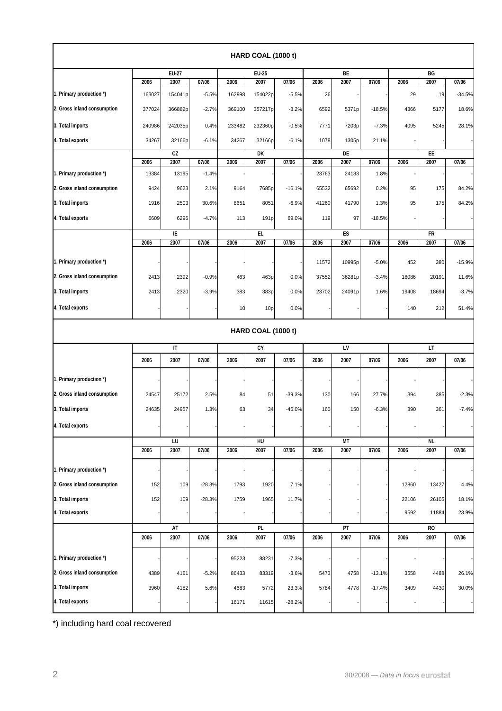|                             |                             |                        |          |                             | HARD COAL (1000 t) |          |                             |            |          |                             |            |          |
|-----------------------------|-----------------------------|------------------------|----------|-----------------------------|--------------------|----------|-----------------------------|------------|----------|-----------------------------|------------|----------|
|                             | $EU-27$                     |                        |          | <b>EU-25</b>                |                    |          |                             | <b>BE</b>  |          |                             | BG         |          |
|                             | 2006                        | 2007                   | 07/06    | 2006                        | 2007               | 07/06    | 2006                        | 2007       | 07/06    | 2006                        | 2007       | 07/06    |
| 1. Primary production *)    | 163027                      | 154041p                | $-5.5%$  | 162998                      | 154022p            | $-5.5%$  | 26                          |            |          | 29                          | 19         | $-34.5%$ |
| 2. Gross inland consumption | 377024                      | 366882p                | $-2.7%$  | 369100                      | 357217p            | $-3.2%$  | 6592                        | 5371p      | $-18.5%$ | 4366                        | 5177       | 18.6%    |
| 3. Total imports            | 240986                      | 242035p                | 0.4%     | 233482                      | 232360p            | $-0.5%$  | 7771                        | 7203p      | $-7.3%$  | 4095                        | 5245       | 28.1%    |
| 4. Total exports            | 34267                       | 32166p                 | $-6.1%$  | 34267                       | 32166p             | $-6.1%$  | 1078                        | 1305p      | 21.1%    |                             |            |          |
|                             | CZ<br>2006<br>2007<br>07/06 |                        |          | DK<br>2007<br>2006<br>07/06 |                    |          | DE<br>2006<br>2007<br>07/06 |            |          | EE<br>2007<br>07/06<br>2006 |            |          |
| 1. Primary production *)    | 13384                       | 13195                  | $-1.4%$  |                             |                    |          | 23763                       | 24183      | 1.8%     |                             |            |          |
| 2. Gross inland consumption | 9424                        | 9623                   | 2.1%     | 9164                        | 7685p              | $-16.1%$ | 65532                       | 65692      | 0.2%     | 95                          | 175        | 84.2%    |
| 3. Total imports            | 1916                        | 2503                   | 30.6%    | 8651                        | 8051               | $-6.9%$  | 41260                       | 41790      | 1.3%     | 95                          | 175        | 84.2%    |
| 4. Total exports            | 6609                        | 6296                   | $-4.7%$  | 113                         | 191 <sub>p</sub>   | 69.0%    | 119                         | 97         | $-18.5%$ |                             |            |          |
|                             |                             |                        |          |                             |                    |          |                             |            |          |                             |            |          |
|                             | 2006                        | IE<br>2007             | 07/06    | 2006                        | EL.<br>2007        | 07/06    | 2006                        | ES<br>2007 | 07/06    | 2006                        | FR<br>2007 | 07/06    |
|                             |                             |                        |          |                             |                    |          |                             |            |          |                             |            |          |
| 1. Primary production *)    |                             |                        |          |                             |                    |          | 11572                       | 10995p     | $-5.0%$  | 452                         | 380        | $-15.9%$ |
| 2. Gross inland consumption | 2413                        | 2392                   | $-0.9%$  | 463                         | 463p               | 0.0%     | 37552                       | 36281p     | $-3.4%$  | 18086                       | 20191      | 11.6%    |
| 3. Total imports            | 2413                        | 2320                   | $-3.9%$  | 383                         | 383p               | 0.0%     | 23702                       | 24091p     | 1.6%     | 19408                       | 18694      | $-3.7%$  |
| 4. Total exports            |                             |                        |          | 10                          | 10 <sub>p</sub>    | 0.0%     |                             |            |          | 140                         | 212        | 51.4%    |
|                             |                             |                        |          |                             | HARD COAL (1000 t) |          |                             |            |          |                             |            |          |
|                             |                             | $\mathsf{I}\mathsf{T}$ |          |                             | CY                 |          |                             | LV         |          |                             | LT         |          |
|                             | 2006                        | 2007                   | 07/06    | 2006                        | 2007               | 07/06    | 2006                        | 2007       | 07/06    | 2006                        | 2007       | 07/06    |
| 1. Primary production *)    |                             |                        |          |                             |                    |          |                             |            |          |                             |            |          |
| 2. Gross inland consumption | 24547                       | 25172                  | 2.5%     | 84                          | 51                 | $-39.3%$ | 130                         | 166        | 27.7%    | 394                         | 385        | $-2.3%$  |
| 3. Total imports            | 24635                       | 24957                  | 1.3%     | 63                          | 34                 | $-46.0%$ | 160                         | 150        | $-6.3%$  | 390                         | 361        | $-7.4%$  |
| 4. Total exports            |                             |                        |          |                             |                    |          |                             |            |          |                             |            |          |
|                             |                             | LU                     |          |                             | HU                 |          |                             | MT         |          |                             | <b>NL</b>  |          |
|                             | 2006                        | 2007                   | 07/06    | 2006                        | 2007               | 07/06    | 2006                        | 2007       | 07/06    | 2006                        | 2007       | 07/06    |
| 1. Primary production *)    |                             |                        |          |                             |                    |          |                             |            |          |                             |            |          |
| 2. Gross inland consumption | 152                         | 109                    | $-28.3%$ | 1793                        | 1920               | 7.1%     |                             |            |          | 12860                       | 13427      | 4.4%     |
| 3. Total imports            | 152                         | 109                    | $-28.3%$ | 1759                        | 1965               | 11.7%    |                             |            |          | 22106                       | 26105      | 18.1%    |
| 4. Total exports            |                             |                        |          |                             |                    |          |                             |            |          | 9592                        | 11884      | 23.9%    |
|                             |                             | AT                     |          |                             | PL                 |          |                             | PT         |          |                             | <b>RO</b>  |          |
|                             | 2006                        | 2007                   | 07/06    | 2006                        | 2007               | 07/06    | 2006                        | 2007       | 07/06    | 2006                        | 2007       | 07/06    |
| 1. Primary production *)    |                             |                        |          | 95223                       | 88231              | $-7.3%$  |                             |            |          |                             |            |          |
| 2. Gross inland consumption | 4389                        | 4161                   | $-5.2%$  | 86433                       | 83319              | $-3.6%$  | 5473                        | 4758       | $-13.1%$ | 3558                        | 4488       | 26.1%    |
| 3. Total imports            | 3960                        | 4182                   | 5.6%     | 4683                        | 5772               | 23.3%    | 5784                        | 4778       | $-17.4%$ | 3409                        | 4430       | 30.0%    |
| 4. Total exports            |                             |                        |          | 16171                       | 11615              | $-28.2%$ |                             |            |          |                             |            |          |

\*) including hard coal recovered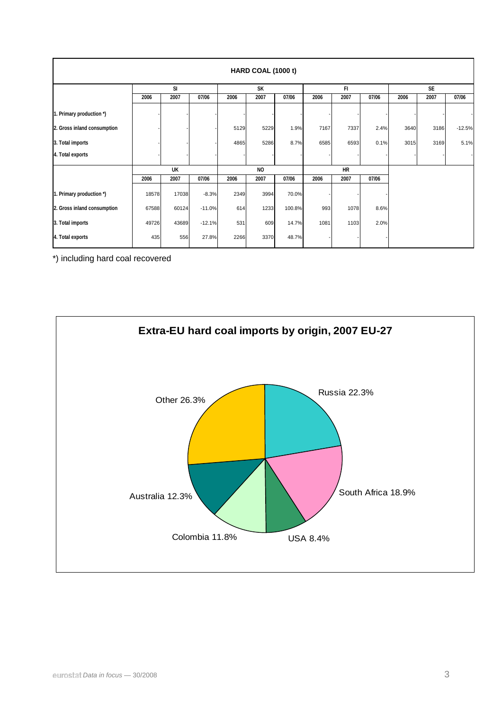| HARD COAL (1000 t)          |           |       |          |           |           |        |           |      |       |           |      |          |
|-----------------------------|-----------|-------|----------|-----------|-----------|--------|-----------|------|-------|-----------|------|----------|
|                             | <b>SI</b> |       |          |           | <b>SK</b> |        |           | FI.  |       | <b>SE</b> |      |          |
|                             | 2006      | 2007  | 07/06    | 2006      | 2007      | 07/06  | 2006      | 2007 | 07/06 | 2006      | 2007 | 07/06    |
| 1. Primary production *)    |           |       |          |           |           |        |           |      |       |           |      |          |
| 2. Gross inland consumption |           |       |          | 5129      | 5229      | 1.9%   | 7167      | 7337 | 2.4%  | 3640      | 3186 | $-12.5%$ |
| 3. Total imports            |           |       |          | 4865      | 5286      | 8.7%   | 6585      | 6593 | 0.1%  | 3015      | 3169 | 5.1%     |
| 4. Total exports            |           |       |          |           |           |        |           |      |       |           |      |          |
|                             | UK        |       |          | <b>NO</b> |           |        | <b>HR</b> |      |       |           |      |          |
|                             | 2006      | 2007  | 07/06    | 2006      | 2007      | 07/06  | 2006      | 2007 | 07/06 |           |      |          |
| 1. Primary production *)    | 18578     | 17038 | $-8.3%$  | 2349      | 3994      | 70.0%  |           |      |       |           |      |          |
| 2. Gross inland consumption | 67588     | 60124 | $-11.0%$ | 614       | 1233      | 100.8% | 993       | 1078 | 8.6%  |           |      |          |
| 3. Total imports            | 49726     | 43689 | $-12.1%$ | 531       | 609       | 14.7%  | 1081      | 1103 | 2.0%  |           |      |          |
| 4. Total exports            | 435       | 556   | 27.8%    | 2266      | 3370      | 48.7%  |           |      |       |           |      |          |

\*) including hard coal recovered

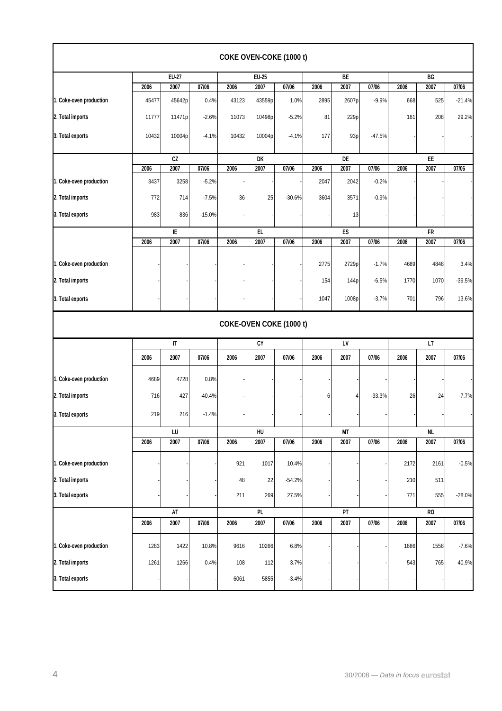|                         |       |                        |          |              | COKE OVEN-COKE (1000 t) |          |      |                 |          |          |                |          |  |
|-------------------------|-------|------------------------|----------|--------------|-------------------------|----------|------|-----------------|----------|----------|----------------|----------|--|
|                         | EU-27 |                        |          | <b>EU-25</b> |                         |          |      | BE              |          |          | BG             |          |  |
|                         | 2006  | 2007                   | 07/06    | 2006         | 2007                    | 07/06    | 2006 | 2007            | 07/06    | 2006     | 2007           | 07/06    |  |
| 1. Coke-oven production | 45477 | 45642p                 | 0.4%     | 43123        | 43559p                  | 1.0%     | 2895 | 2607p           | $-9.9%$  | 668      | 525            | $-21.4%$ |  |
| 2. Total imports        | 11777 | 11471p                 | $-2.6%$  | 11073        | 10498p                  | $-5.2%$  | 81   | 229p            |          | 161      | 208            | 29.2%    |  |
| 3. Total exports        | 10432 | 10004p                 | $-4.1%$  | 10432        | 10004p                  | $-4.1%$  | 177  | 93 <sub>p</sub> | $-47.5%$ |          |                |          |  |
|                         |       |                        |          |              | DK                      |          |      | DE              |          |          | EE             |          |  |
|                         | 2006  | 2007                   | 07/06    | 2006         | 2007                    | 07/06    | 2006 | 2007            | 07/06    | 2006     | 2007           | 07/06    |  |
| 1. Coke-oven production | 3437  | 3258                   | $-5.2%$  |              |                         |          | 2047 | 2042            | $-0.2%$  |          |                |          |  |
| 2. Total imports        | 772   | 714                    | $-7.5%$  | 36           | 25                      | $-30.6%$ | 3604 | 3571            | $-0.9%$  |          |                |          |  |
| 3. Total exports        | 983   | 836                    | $-15.0%$ |              |                         |          |      | 13              |          |          |                |          |  |
|                         |       | IE                     |          |              | EL                      |          |      | ES              |          |          | FR             |          |  |
|                         | 2006  | 2007                   | 07/06    | 2006         | 2007                    | 07/06    | 2006 | 2007            | 07/06    | 2006     | 2007           | 07/06    |  |
| 1. Coke-oven production |       |                        |          |              |                         |          | 2775 | 2729p           | $-1.7%$  | 4689     | 4848           | 3.4%     |  |
| 2. Total imports        |       |                        |          |              |                         |          | 154  | 144p            | $-6.5%$  | 1770     | 1070           | $-39.5%$ |  |
| 3. Total exports        |       |                        |          |              |                         |          | 1047 | 1008p           | $-3.7%$  | 701      | 796            | 13.6%    |  |
|                         |       |                        |          |              | COKE-OVEN COKE (1000 t) |          |      |                 |          |          |                |          |  |
|                         |       | $\mathsf{I}\mathsf{T}$ |          | CY           |                         |          | LV   |                 |          |          | LT             |          |  |
|                         | 2006  | 2007                   | 07/06    | 2006         | 2007                    | 07/06    | 2006 | 2007            | 07/06    | 2006     | 2007           | 07/06    |  |
| 1. Coke-oven production | 4689  | 4728                   | 0.8%     |              |                         |          |      |                 |          |          |                |          |  |
| 2. Total imports        | 716   | 427                    | $-40.4%$ |              |                         |          | 6    | 4               | $-33.3%$ | 26       | 24             | $-7.7%$  |  |
| 3. Total exports        | 219   | 216                    | $-1.4%$  |              |                         |          |      |                 |          |          |                |          |  |
|                         |       | LU                     |          | HU           |                         |          | MT   |                 |          | $\sf NL$ |                |          |  |
|                         | 2006  | 2007                   | 07/06    | 2006         | 2007                    | 07/06    | 2006 | 2007            | 07/06    | 2006     | 2007           | 07/06    |  |
| 1. Coke-oven production |       |                        |          | 921          | 1017                    | 10.4%    |      |                 |          | 2172     | 2161           | $-0.5%$  |  |
| 2. Total imports        |       |                        |          | 48           | 22                      | $-54.2%$ |      |                 |          | 210      | 511            |          |  |
| 3. Total exports        |       |                        |          | 211          | 269                     | 27.5%    |      |                 |          | 771      | 555            | $-28.0%$ |  |
|                         | AT    |                        |          |              | PL                      |          |      | PT              |          |          | R <sub>0</sub> |          |  |
|                         | 2006  | 2007                   | 07/06    | 2006         | 2007                    | 07/06    | 2006 | 2007            | 07/06    | 2006     | 2007           | 07/06    |  |
| 1. Coke-oven production | 1283  | 1422                   | 10.8%    | 9616         | 10266                   | 6.8%     |      |                 |          | 1686     | 1558           | $-7.6%$  |  |
| 2. Total imports        | 1261  | 1266                   | 0.4%     | 108          | 112                     | 3.7%     |      |                 |          | 543      | 765            | 40.9%    |  |
| 3. Total exports        |       |                        |          | 6061         | 5855                    | $-3.4%$  |      |                 |          |          |                |          |  |